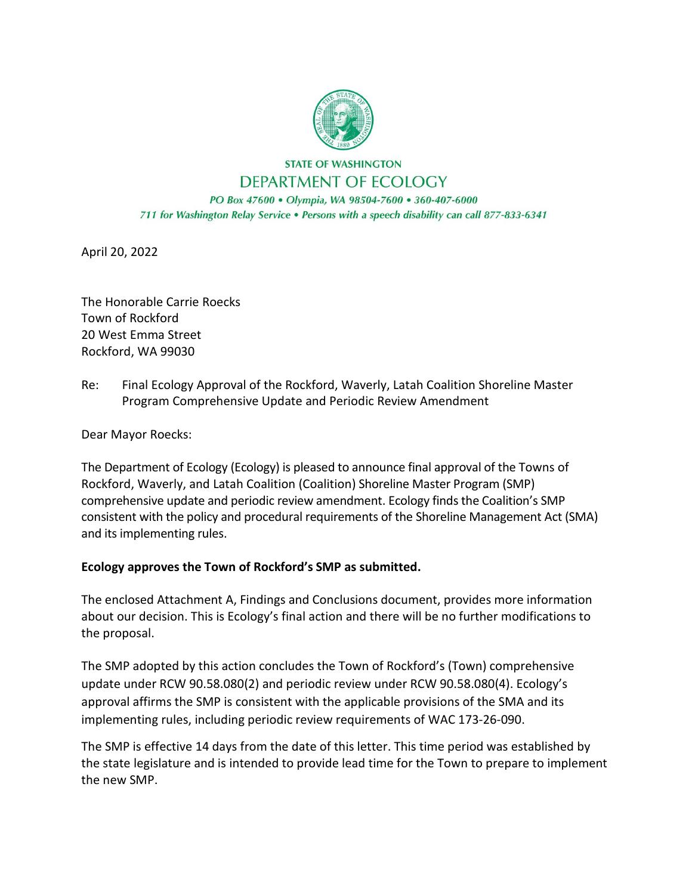

**STATE OF WASHINGTON** DEPARTMENT OF ECOLOGY

PO Box 47600 · Olympia, WA 98504-7600 · 360-407-6000 711 for Washington Relay Service . Persons with a speech disability can call 877-833-6341

April 20, 2022

The Honorable Carrie Roecks Town of Rockford 20 West Emma Street Rockford, WA 99030

Re: Final Ecology Approval of the Rockford, Waverly, Latah Coalition Shoreline Master Program Comprehensive Update and Periodic Review Amendment

Dear Mayor Roecks:

The Department of Ecology (Ecology) is pleased to announce final approval of the Towns of Rockford, Waverly, and Latah Coalition (Coalition) Shoreline Master Program (SMP) comprehensive update and periodic review amendment. Ecology finds the Coalition's SMP consistent with the policy and procedural requirements of the Shoreline Management Act (SMA) and its implementing rules.

## **Ecology approves the Town of Rockford's SMP as submitted.**

The enclosed Attachment A, Findings and Conclusions document, provides more information about our decision. This is Ecology's final action and there will be no further modifications to the proposal.

The SMP adopted by this action concludes the Town of Rockford's (Town) comprehensive update under RCW 90.58.080(2) and periodic review under RCW 90.58.080(4). Ecology's approval affirms the SMP is consistent with the applicable provisions of the SMA and its implementing rules, including periodic review requirements of WAC 173-26-090.

The SMP is effective 14 days from the date of this letter. This time period was established by the state legislature and is intended to provide lead time for the Town to prepare to implement the new SMP.